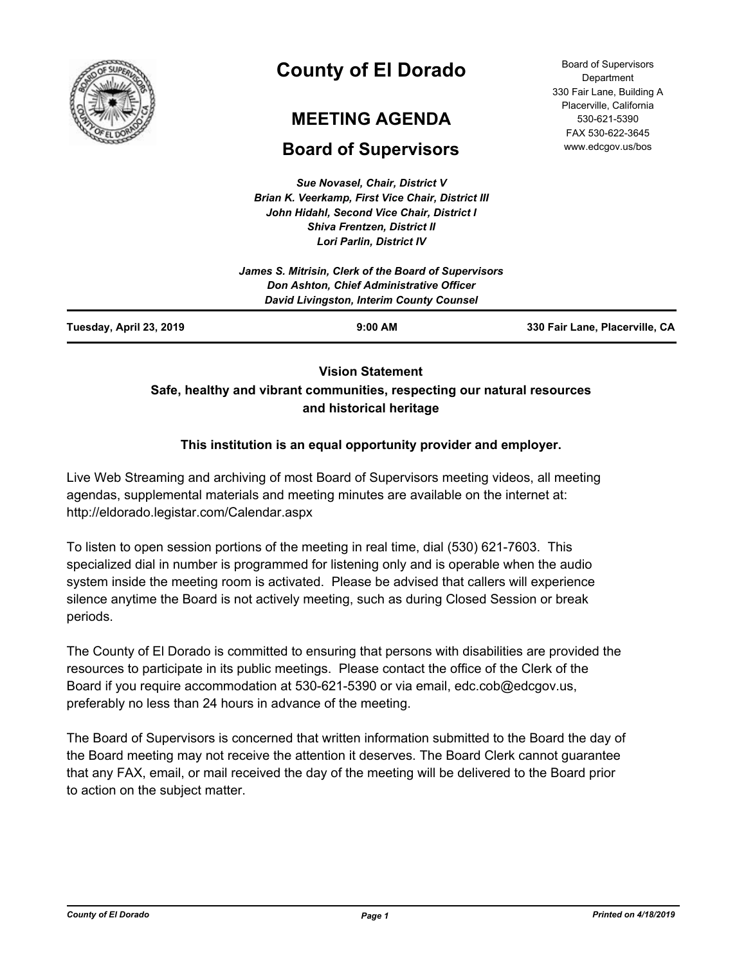

# **County of El Dorado**

# **MEETING AGENDA**

# **Board of Supervisors**

*Sue Novasel, Chair, District V Brian K. Veerkamp, First Vice Chair, District III John Hidahl, Second Vice Chair, District I Shiva Frentzen, District II Lori Parlin, District IV*

| <b>Board of Supervisors</b> |
|-----------------------------|
| Department                  |
| 330 Fair Lane, Building A   |
| Placerville, California     |
| 530-621-5390                |
| FAX 530-622-3645            |
| www.edcgov.us/bos           |

# **Vision Statement Safe, healthy and vibrant communities, respecting our natural resources and historical heritage**

# **This institution is an equal opportunity provider and employer.**

Live Web Streaming and archiving of most Board of Supervisors meeting videos, all meeting agendas, supplemental materials and meeting minutes are available on the internet at: http://eldorado.legistar.com/Calendar.aspx

To listen to open session portions of the meeting in real time, dial (530) 621-7603. This specialized dial in number is programmed for listening only and is operable when the audio system inside the meeting room is activated. Please be advised that callers will experience silence anytime the Board is not actively meeting, such as during Closed Session or break periods.

The County of El Dorado is committed to ensuring that persons with disabilities are provided the resources to participate in its public meetings. Please contact the office of the Clerk of the Board if you require accommodation at 530-621-5390 or via email, edc.cob@edcgov.us, preferably no less than 24 hours in advance of the meeting.

The Board of Supervisors is concerned that written information submitted to the Board the day of the Board meeting may not receive the attention it deserves. The Board Clerk cannot guarantee that any FAX, email, or mail received the day of the meeting will be delivered to the Board prior to action on the subject matter.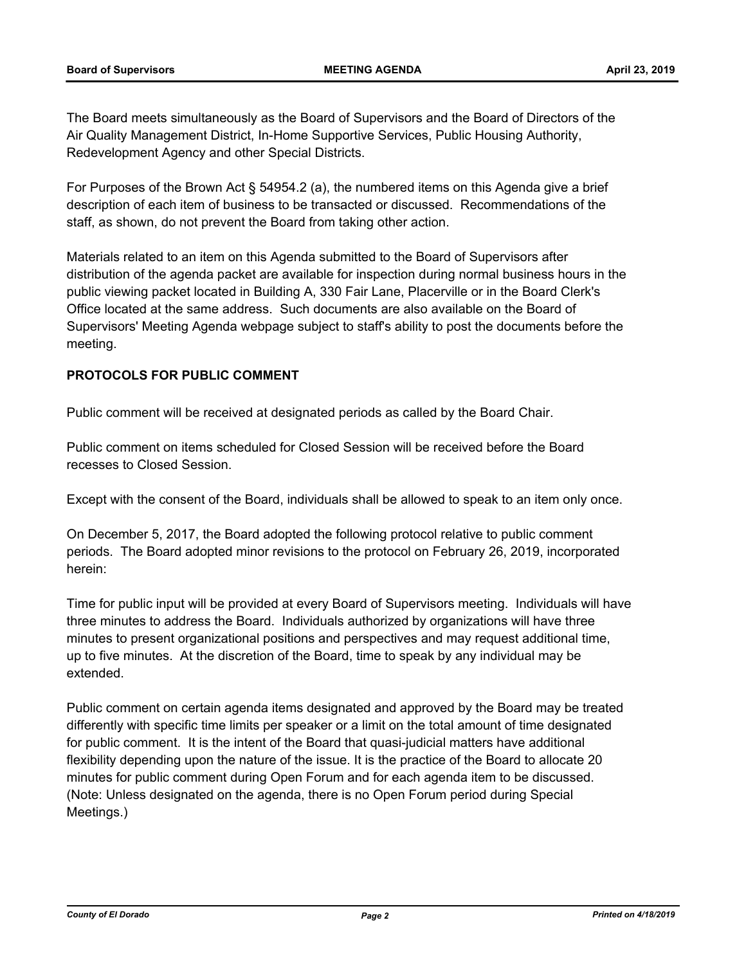The Board meets simultaneously as the Board of Supervisors and the Board of Directors of the Air Quality Management District, In-Home Supportive Services, Public Housing Authority, Redevelopment Agency and other Special Districts.

For Purposes of the Brown Act § 54954.2 (a), the numbered items on this Agenda give a brief description of each item of business to be transacted or discussed. Recommendations of the staff, as shown, do not prevent the Board from taking other action.

Materials related to an item on this Agenda submitted to the Board of Supervisors after distribution of the agenda packet are available for inspection during normal business hours in the public viewing packet located in Building A, 330 Fair Lane, Placerville or in the Board Clerk's Office located at the same address. Such documents are also available on the Board of Supervisors' Meeting Agenda webpage subject to staff's ability to post the documents before the meeting.

## **PROTOCOLS FOR PUBLIC COMMENT**

Public comment will be received at designated periods as called by the Board Chair.

Public comment on items scheduled for Closed Session will be received before the Board recesses to Closed Session.

Except with the consent of the Board, individuals shall be allowed to speak to an item only once.

On December 5, 2017, the Board adopted the following protocol relative to public comment periods. The Board adopted minor revisions to the protocol on February 26, 2019, incorporated herein:

Time for public input will be provided at every Board of Supervisors meeting. Individuals will have three minutes to address the Board. Individuals authorized by organizations will have three minutes to present organizational positions and perspectives and may request additional time, up to five minutes. At the discretion of the Board, time to speak by any individual may be extended.

Public comment on certain agenda items designated and approved by the Board may be treated differently with specific time limits per speaker or a limit on the total amount of time designated for public comment. It is the intent of the Board that quasi-judicial matters have additional flexibility depending upon the nature of the issue. It is the practice of the Board to allocate 20 minutes for public comment during Open Forum and for each agenda item to be discussed. (Note: Unless designated on the agenda, there is no Open Forum period during Special Meetings.)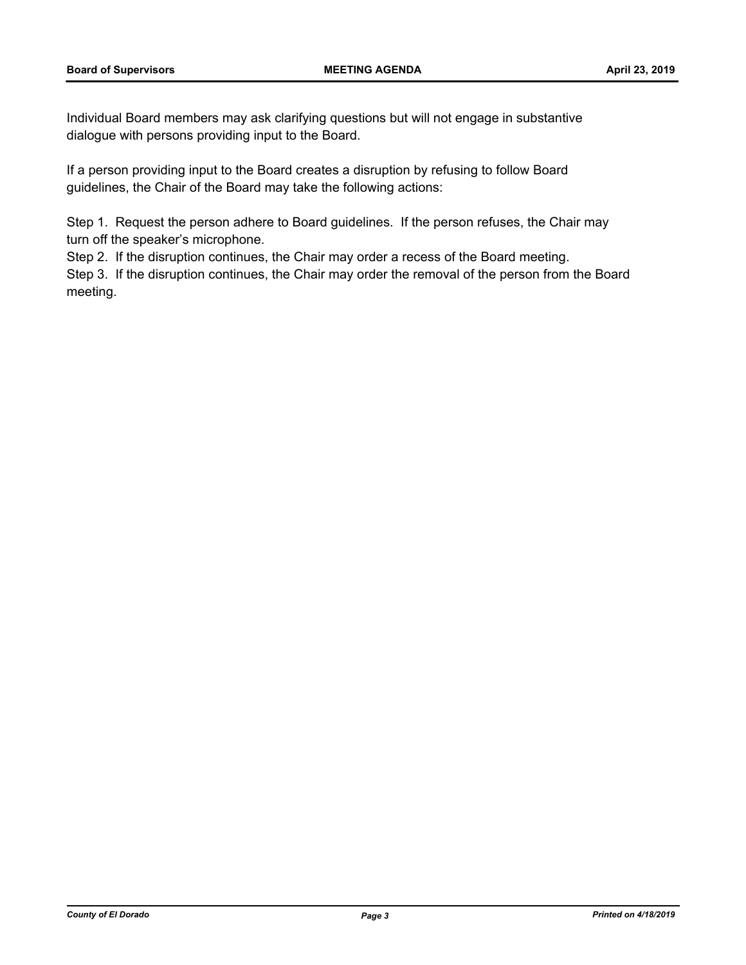Individual Board members may ask clarifying questions but will not engage in substantive dialogue with persons providing input to the Board.

If a person providing input to the Board creates a disruption by refusing to follow Board guidelines, the Chair of the Board may take the following actions:

Step 1. Request the person adhere to Board guidelines. If the person refuses, the Chair may turn off the speaker's microphone.

Step 2. If the disruption continues, the Chair may order a recess of the Board meeting.

Step 3. If the disruption continues, the Chair may order the removal of the person from the Board meeting.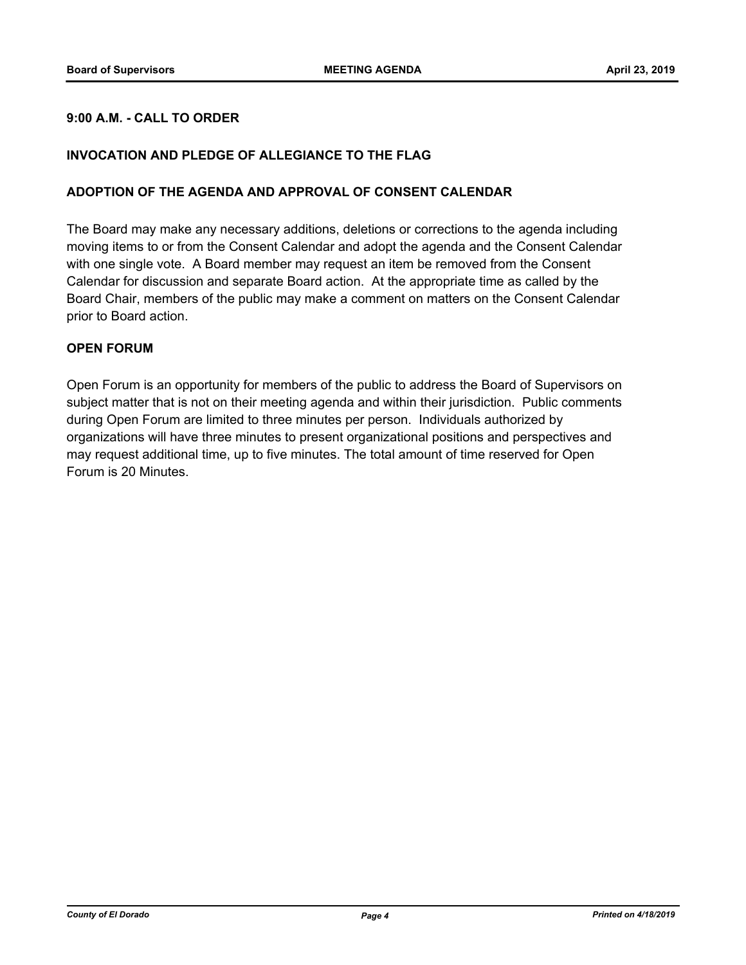## **9:00 A.M. - CALL TO ORDER**

## **INVOCATION AND PLEDGE OF ALLEGIANCE TO THE FLAG**

### **ADOPTION OF THE AGENDA AND APPROVAL OF CONSENT CALENDAR**

The Board may make any necessary additions, deletions or corrections to the agenda including moving items to or from the Consent Calendar and adopt the agenda and the Consent Calendar with one single vote. A Board member may request an item be removed from the Consent Calendar for discussion and separate Board action. At the appropriate time as called by the Board Chair, members of the public may make a comment on matters on the Consent Calendar prior to Board action.

## **OPEN FORUM**

Open Forum is an opportunity for members of the public to address the Board of Supervisors on subject matter that is not on their meeting agenda and within their jurisdiction. Public comments during Open Forum are limited to three minutes per person. Individuals authorized by organizations will have three minutes to present organizational positions and perspectives and may request additional time, up to five minutes. The total amount of time reserved for Open Forum is 20 Minutes.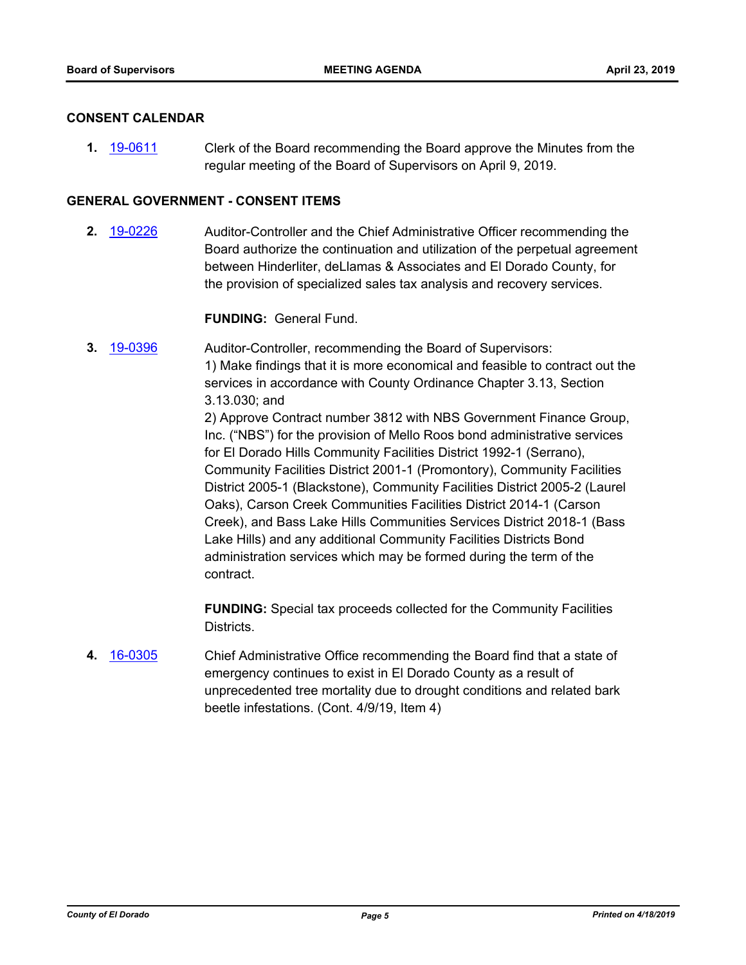## **CONSENT CALENDAR**

**1.** [19-0611](http://eldorado.legistar.com/gateway.aspx?m=l&id=/matter.aspx?key=25932) Clerk of the Board recommending the Board approve the Minutes from the regular meeting of the Board of Supervisors on April 9, 2019.

## **GENERAL GOVERNMENT - CONSENT ITEMS**

**2.** [19-0226](http://eldorado.legistar.com/gateway.aspx?m=l&id=/matter.aspx?key=25546) Auditor-Controller and the Chief Administrative Officer recommending the Board authorize the continuation and utilization of the perpetual agreement between Hinderliter, deLlamas & Associates and El Dorado County, for the provision of specialized sales tax analysis and recovery services.

## **FUNDING:** General Fund.

**3.** [19-0396](http://eldorado.legistar.com/gateway.aspx?m=l&id=/matter.aspx?key=25717) Auditor-Controller, recommending the Board of Supervisors: 1) Make findings that it is more economical and feasible to contract out the services in accordance with County Ordinance Chapter 3.13, Section 3.13.030; and 2) Approve Contract number 3812 with NBS Government Finance Group, Inc. ("NBS") for the provision of Mello Roos bond administrative services for El Dorado Hills Community Facilities District 1992-1 (Serrano), Community Facilities District 2001-1 (Promontory), Community Facilities District 2005-1 (Blackstone), Community Facilities District 2005-2 (Laurel Oaks), Carson Creek Communities Facilities District 2014-1 (Carson Creek), and Bass Lake Hills Communities Services District 2018-1 (Bass Lake Hills) and any additional Community Facilities Districts Bond administration services which may be formed during the term of the contract.

> **FUNDING:** Special tax proceeds collected for the Community Facilities Districts.

**4.** [16-0305](http://eldorado.legistar.com/gateway.aspx?m=l&id=/matter.aspx?key=20961) Chief Administrative Office recommending the Board find that a state of emergency continues to exist in El Dorado County as a result of unprecedented tree mortality due to drought conditions and related bark beetle infestations. (Cont. 4/9/19, Item 4)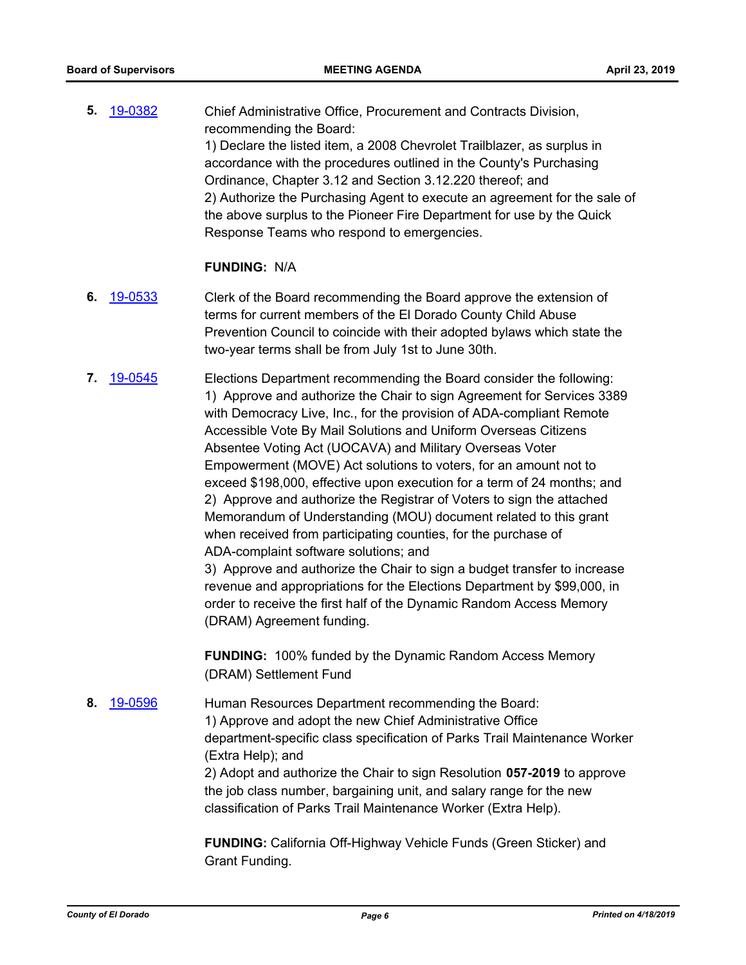**5.** [19-0382](http://eldorado.legistar.com/gateway.aspx?m=l&id=/matter.aspx?key=25703) Chief Administrative Office, Procurement and Contracts Division, recommending the Board: 1) Declare the listed item, a 2008 Chevrolet Trailblazer, as surplus in accordance with the procedures outlined in the County's Purchasing Ordinance, Chapter 3.12 and Section 3.12.220 thereof; and 2) Authorize the Purchasing Agent to execute an agreement for the sale of the above surplus to the Pioneer Fire Department for use by the Quick Response Teams who respond to emergencies.

## **FUNDING:** N/A

- **6.** [19-0533](http://eldorado.legistar.com/gateway.aspx?m=l&id=/matter.aspx?key=25854) Clerk of the Board recommending the Board approve the extension of terms for current members of the El Dorado County Child Abuse Prevention Council to coincide with their adopted bylaws which state the two-year terms shall be from July 1st to June 30th.
- **7.** [19-0545](http://eldorado.legistar.com/gateway.aspx?m=l&id=/matter.aspx?key=25866) Elections Department recommending the Board consider the following: 1) Approve and authorize the Chair to sign Agreement for Services 3389 with Democracy Live, Inc., for the provision of ADA-compliant Remote Accessible Vote By Mail Solutions and Uniform Overseas Citizens Absentee Voting Act (UOCAVA) and Military Overseas Voter Empowerment (MOVE) Act solutions to voters, for an amount not to exceed \$198,000, effective upon execution for a term of 24 months; and 2) Approve and authorize the Registrar of Voters to sign the attached Memorandum of Understanding (MOU) document related to this grant when received from participating counties, for the purchase of ADA-complaint software solutions; and

3) Approve and authorize the Chair to sign a budget transfer to increase revenue and appropriations for the Elections Department by \$99,000, in order to receive the first half of the Dynamic Random Access Memory (DRAM) Agreement funding.

**FUNDING:** 100% funded by the Dynamic Random Access Memory (DRAM) Settlement Fund

**8.** [19-0596](http://eldorado.legistar.com/gateway.aspx?m=l&id=/matter.aspx?key=25917) Human Resources Department recommending the Board: 1) Approve and adopt the new Chief Administrative Office department-specific class specification of Parks Trail Maintenance Worker (Extra Help); and 2) Adopt and authorize the Chair to sign Resolution **057-2019** to approve the job class number, bargaining unit, and salary range for the new classification of Parks Trail Maintenance Worker (Extra Help).

> **FUNDING:** California Off-Highway Vehicle Funds (Green Sticker) and Grant Funding.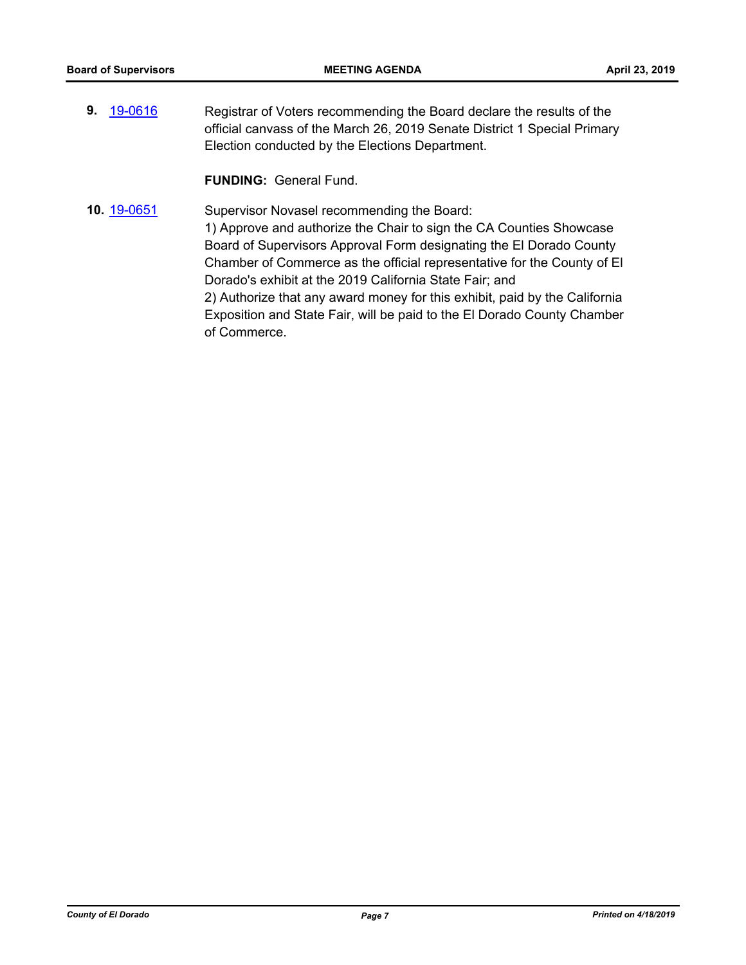**9.** [19-0616](http://eldorado.legistar.com/gateway.aspx?m=l&id=/matter.aspx?key=25937) Registrar of Voters recommending the Board declare the results of the official canvass of the March 26, 2019 Senate District 1 Special Primary Election conducted by the Elections Department.

**FUNDING:** General Fund.

**10.** [19-0651](http://eldorado.legistar.com/gateway.aspx?m=l&id=/matter.aspx?key=25973) Supervisor Novasel recommending the Board: 1) Approve and authorize the Chair to sign the CA Counties Showcase Board of Supervisors Approval Form designating the El Dorado County Chamber of Commerce as the official representative for the County of El Dorado's exhibit at the 2019 California State Fair; and 2) Authorize that any award money for this exhibit, paid by the California Exposition and State Fair, will be paid to the El Dorado County Chamber of Commerce.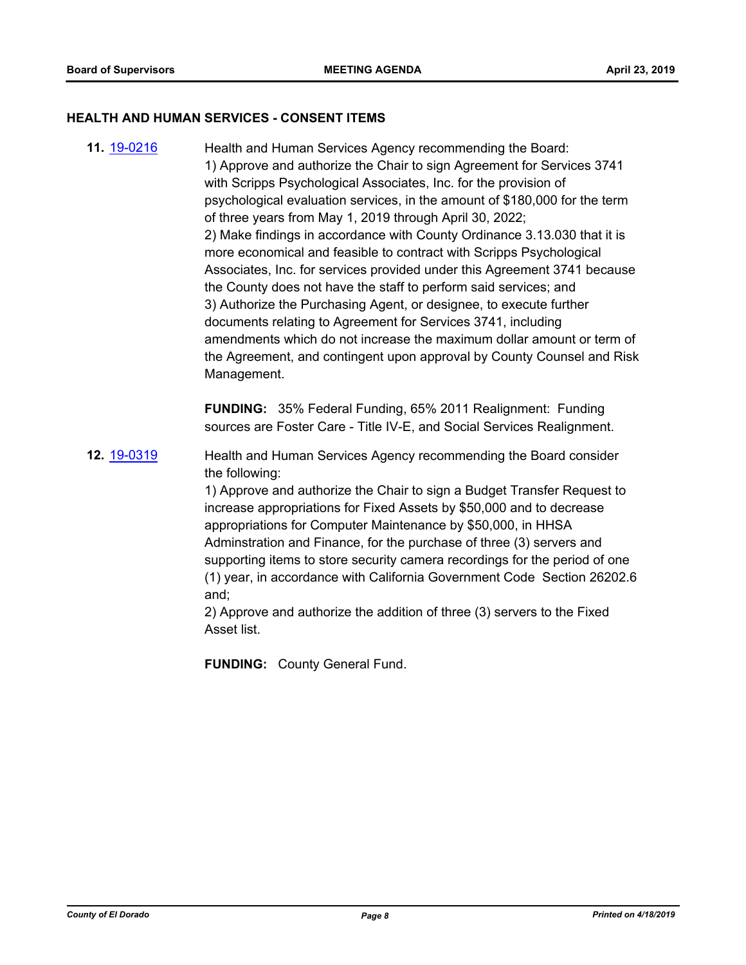#### **HEALTH AND HUMAN SERVICES - CONSENT ITEMS**

**11.** [19-0216](http://eldorado.legistar.com/gateway.aspx?m=l&id=/matter.aspx?key=25536) Health and Human Services Agency recommending the Board: 1) Approve and authorize the Chair to sign Agreement for Services 3741 with Scripps Psychological Associates, Inc. for the provision of psychological evaluation services, in the amount of \$180,000 for the term of three years from May 1, 2019 through April 30, 2022; 2) Make findings in accordance with County Ordinance 3.13.030 that it is more economical and feasible to contract with Scripps Psychological Associates, Inc. for services provided under this Agreement 3741 because the County does not have the staff to perform said services; and 3) Authorize the Purchasing Agent, or designee, to execute further documents relating to Agreement for Services 3741, including amendments which do not increase the maximum dollar amount or term of the Agreement, and contingent upon approval by County Counsel and Risk Management.

> **FUNDING:** 35% Federal Funding, 65% 2011 Realignment: Funding sources are Foster Care - Title IV-E, and Social Services Realignment.

**12.** [19-0319](http://eldorado.legistar.com/gateway.aspx?m=l&id=/matter.aspx?key=25640) Health and Human Services Agency recommending the Board consider the following:

> 1) Approve and authorize the Chair to sign a Budget Transfer Request to increase appropriations for Fixed Assets by \$50,000 and to decrease appropriations for Computer Maintenance by \$50,000, in HHSA Adminstration and Finance, for the purchase of three (3) servers and supporting items to store security camera recordings for the period of one (1) year, in accordance with California Government Code Section 26202.6 and;

2) Approve and authorize the addition of three (3) servers to the Fixed Asset list.

**FUNDING:** County General Fund.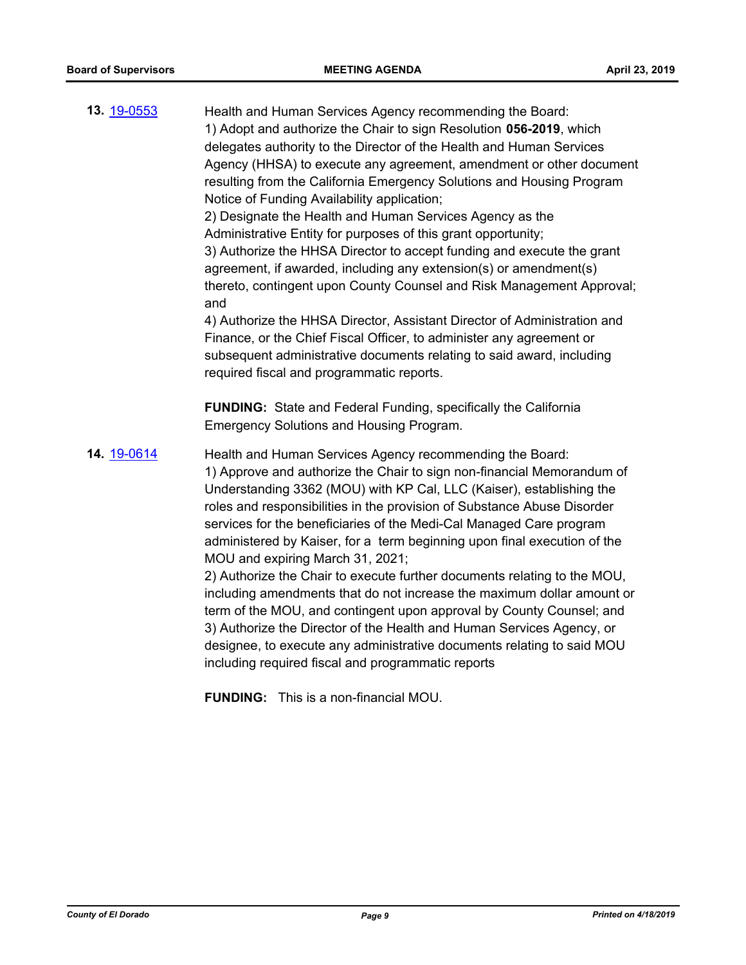| 13. 19-0553 | Health and Human Services Agency recommending the Board:<br>1) Adopt and authorize the Chair to sign Resolution 056-2019, which<br>delegates authority to the Director of the Health and Human Services<br>Agency (HHSA) to execute any agreement, amendment or other document<br>resulting from the California Emergency Solutions and Housing Program<br>Notice of Funding Availability application;<br>2) Designate the Health and Human Services Agency as the<br>Administrative Entity for purposes of this grant opportunity;<br>3) Authorize the HHSA Director to accept funding and execute the grant<br>agreement, if awarded, including any extension(s) or amendment(s)<br>thereto, contingent upon County Counsel and Risk Management Approval;<br>and<br>4) Authorize the HHSA Director, Assistant Director of Administration and<br>Finance, or the Chief Fiscal Officer, to administer any agreement or<br>subsequent administrative documents relating to said award, including<br>required fiscal and programmatic reports. |
|-------------|----------------------------------------------------------------------------------------------------------------------------------------------------------------------------------------------------------------------------------------------------------------------------------------------------------------------------------------------------------------------------------------------------------------------------------------------------------------------------------------------------------------------------------------------------------------------------------------------------------------------------------------------------------------------------------------------------------------------------------------------------------------------------------------------------------------------------------------------------------------------------------------------------------------------------------------------------------------------------------------------------------------------------------------------|
|             | <b>FUNDING:</b> State and Federal Funding, specifically the California<br>Emergency Solutions and Housing Program.                                                                                                                                                                                                                                                                                                                                                                                                                                                                                                                                                                                                                                                                                                                                                                                                                                                                                                                           |
| 14. 19-0614 | Health and Human Services Agency recommending the Board:<br>1) Approve and authorize the Chair to sign non-financial Memorandum of<br>Understanding 3362 (MOU) with KP Cal, LLC (Kaiser), establishing the<br>roles and responsibilities in the provision of Substance Abuse Disorder<br>services for the beneficiaries of the Medi-Cal Managed Care program<br>administered by Kaiser, for a term beginning upon final execution of the<br>MOU and expiring March 31, 2021;<br>2) Authorize the Chair to execute further documents relating to the MOU,<br>including amendments that do not increase the maximum dollar amount or<br>term of the MOU, and contingent upon approval by County Counsel; and<br>3) Authorize the Director of the Health and Human Services Agency, or<br>designee, to execute any administrative documents relating to said MOU<br>including required fiscal and programmatic reports<br><b>FUNDING:</b> This is a non-financial MOU.                                                                          |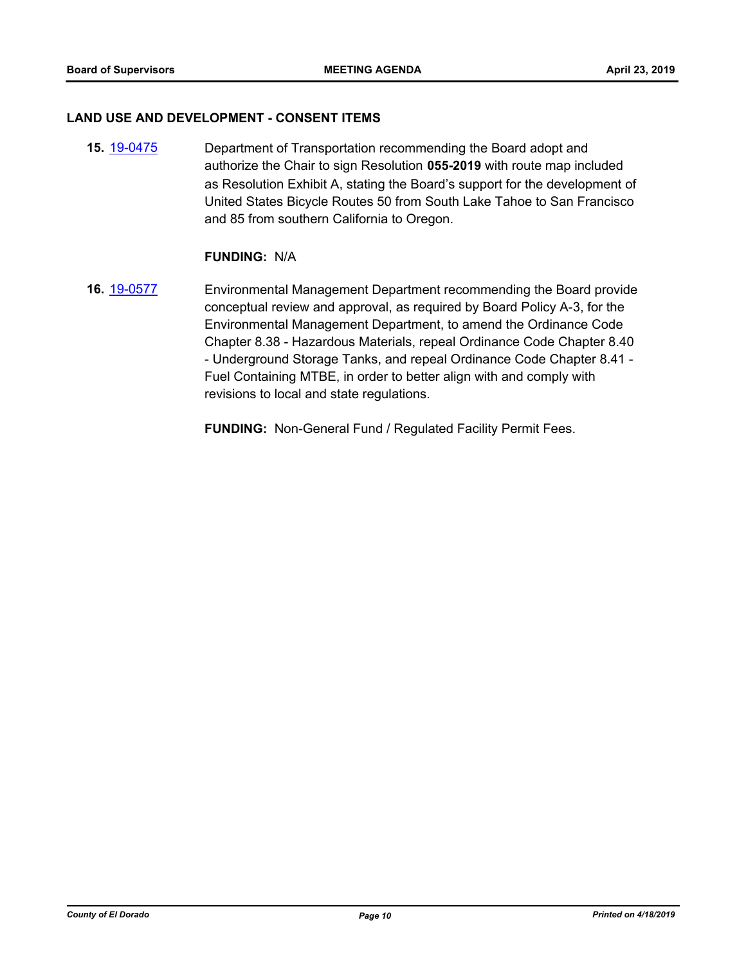#### **LAND USE AND DEVELOPMENT - CONSENT ITEMS**

**15.** [19-0475](http://eldorado.legistar.com/gateway.aspx?m=l&id=/matter.aspx?key=25796) Department of Transportation recommending the Board adopt and authorize the Chair to sign Resolution **055-2019** with route map included as Resolution Exhibit A, stating the Board's support for the development of United States Bicycle Routes 50 from South Lake Tahoe to San Francisco and 85 from southern California to Oregon.

## **FUNDING:** N/A

**16.** [19-0577](http://eldorado.legistar.com/gateway.aspx?m=l&id=/matter.aspx?key=25898) Environmental Management Department recommending the Board provide conceptual review and approval, as required by Board Policy A-3, for the Environmental Management Department, to amend the Ordinance Code Chapter 8.38 - Hazardous Materials, repeal Ordinance Code Chapter 8.40 - Underground Storage Tanks, and repeal Ordinance Code Chapter 8.41 - Fuel Containing MTBE, in order to better align with and comply with revisions to local and state regulations.

**FUNDING:** Non-General Fund / Regulated Facility Permit Fees.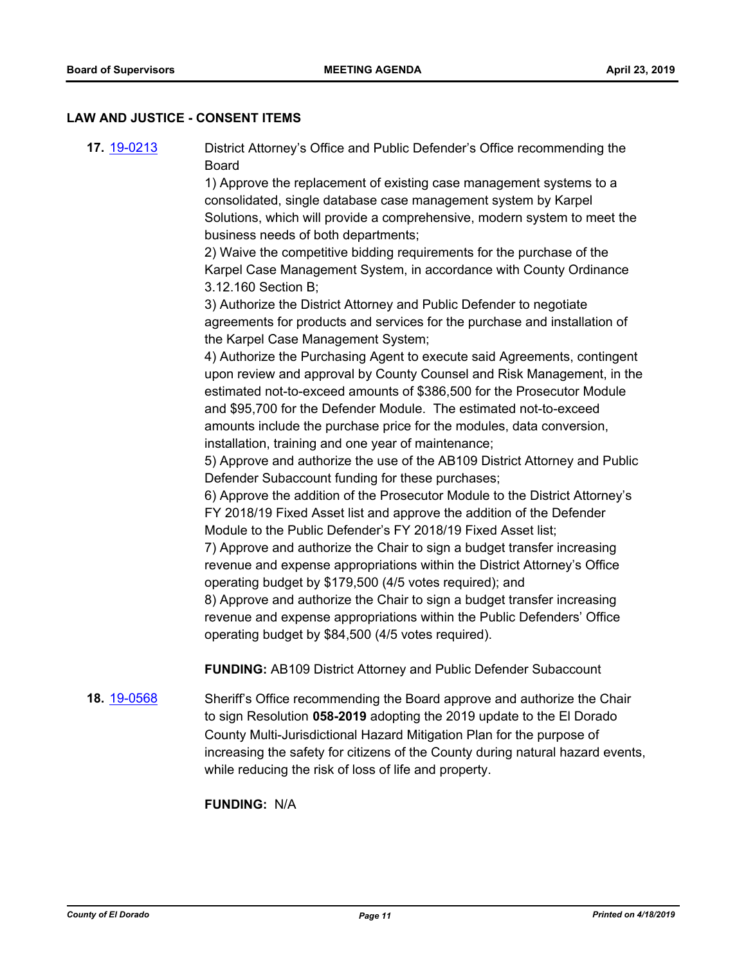#### **LAW AND JUSTICE - CONSENT ITEMS**

- **17.** [19-0213](http://eldorado.legistar.com/gateway.aspx?m=l&id=/matter.aspx?key=25533) District Attorney's Office and Public Defender's Office recommending the Board 1) Approve the replacement of existing case management systems to a consolidated, single database case management system by Karpel Solutions, which will provide a comprehensive, modern system to meet the business needs of both departments; 2) Waive the competitive bidding requirements for the purchase of the Karpel Case Management System, in accordance with County Ordinance 3.12.160 Section B; 3) Authorize the District Attorney and Public Defender to negotiate agreements for products and services for the purchase and installation of the Karpel Case Management System; 4) Authorize the Purchasing Agent to execute said Agreements, contingent upon review and approval by County Counsel and Risk Management, in the estimated not-to-exceed amounts of \$386,500 for the Prosecutor Module and \$95,700 for the Defender Module. The estimated not-to-exceed amounts include the purchase price for the modules, data conversion, installation, training and one year of maintenance; 5) Approve and authorize the use of the AB109 District Attorney and Public Defender Subaccount funding for these purchases; 6) Approve the addition of the Prosecutor Module to the District Attorney's FY 2018/19 Fixed Asset list and approve the addition of the Defender Module to the Public Defender's FY 2018/19 Fixed Asset list; 7) Approve and authorize the Chair to sign a budget transfer increasing revenue and expense appropriations within the District Attorney's Office operating budget by \$179,500 (4/5 votes required); and 8) Approve and authorize the Chair to sign a budget transfer increasing revenue and expense appropriations within the Public Defenders' Office operating budget by \$84,500 (4/5 votes required). **FUNDING:** AB109 District Attorney and Public Defender Subaccount
	- **18.** [19-0568](http://eldorado.legistar.com/gateway.aspx?m=l&id=/matter.aspx?key=25889) Sheriff's Office recommending the Board approve and authorize the Chair to sign Resolution **058-2019** adopting the 2019 update to the El Dorado County Multi-Jurisdictional Hazard Mitigation Plan for the purpose of increasing the safety for citizens of the County during natural hazard events, while reducing the risk of loss of life and property.

## **FUNDING:** N/A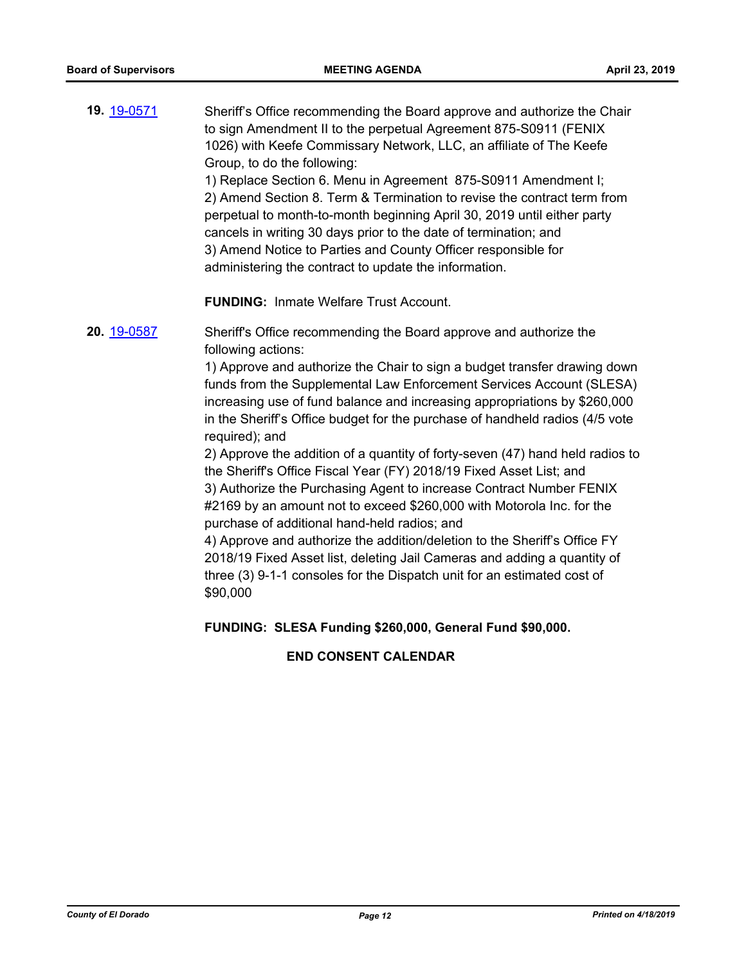**19.** [19-0571](http://eldorado.legistar.com/gateway.aspx?m=l&id=/matter.aspx?key=25892) Sheriff's Office recommending the Board approve and authorize the Chair to sign Amendment II to the perpetual Agreement 875-S0911 (FENIX 1026) with Keefe Commissary Network, LLC, an affiliate of The Keefe Group, to do the following:

1) Replace Section 6. Menu in Agreement 875-S0911 Amendment I; 2) Amend Section 8. Term & Termination to revise the contract term from perpetual to month-to-month beginning April 30, 2019 until either party cancels in writing 30 days prior to the date of termination; and 3) Amend Notice to Parties and County Officer responsible for administering the contract to update the information.

**FUNDING:** Inmate Welfare Trust Account.

**20.** [19-0587](http://eldorado.legistar.com/gateway.aspx?m=l&id=/matter.aspx?key=25908) Sheriff's Office recommending the Board approve and authorize the following actions:

> 1) Approve and authorize the Chair to sign a budget transfer drawing down funds from the Supplemental Law Enforcement Services Account (SLESA) increasing use of fund balance and increasing appropriations by \$260,000 in the Sheriff's Office budget for the purchase of handheld radios (4/5 vote required); and

> 2) Approve the addition of a quantity of forty-seven (47) hand held radios to the Sheriff's Office Fiscal Year (FY) 2018/19 Fixed Asset List; and 3) Authorize the Purchasing Agent to increase Contract Number FENIX #2169 by an amount not to exceed \$260,000 with Motorola Inc. for the

purchase of additional hand-held radios; and 4) Approve and authorize the addition/deletion to the Sheriff's Office FY 2018/19 Fixed Asset list, deleting Jail Cameras and adding a quantity of

three (3) 9-1-1 consoles for the Dispatch unit for an estimated cost of \$90,000

**FUNDING: SLESA Funding \$260,000, General Fund \$90,000.**

## **END CONSENT CALENDAR**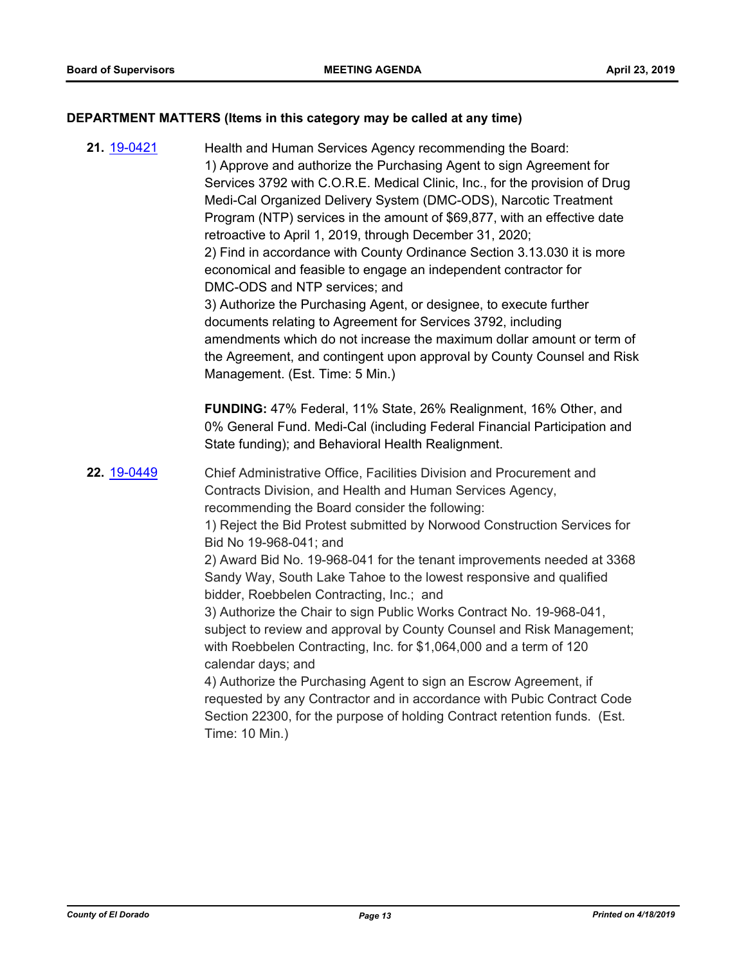## **DEPARTMENT MATTERS (Items in this category may be called at any time)**

**21.** [19-0421](http://eldorado.legistar.com/gateway.aspx?m=l&id=/matter.aspx?key=25742) Health and Human Services Agency recommending the Board: 1) Approve and authorize the Purchasing Agent to sign Agreement for Services 3792 with C.O.R.E. Medical Clinic, Inc., for the provision of Drug Medi-Cal Organized Delivery System (DMC-ODS), Narcotic Treatment Program (NTP) services in the amount of \$69,877, with an effective date retroactive to April 1, 2019, through December 31, 2020; 2) Find in accordance with County Ordinance Section 3.13.030 it is more economical and feasible to engage an independent contractor for DMC-ODS and NTP services; and 3) Authorize the Purchasing Agent, or designee, to execute further documents relating to Agreement for Services 3792, including amendments which do not increase the maximum dollar amount or term of the Agreement, and contingent upon approval by County Counsel and Risk Management. (Est. Time: 5 Min.) **FUNDING:** 47% Federal, 11% State, 26% Realignment, 16% Other, and 0% General Fund. Medi-Cal (including Federal Financial Participation and State funding); and Behavioral Health Realignment. **22.** [19-0449](http://eldorado.legistar.com/gateway.aspx?m=l&id=/matter.aspx?key=25770) Chief Administrative Office, Facilities Division and Procurement and Contracts Division, and Health and Human Services Agency, recommending the Board consider the following: 1) Reject the Bid Protest submitted by Norwood Construction Services for Bid No 19-968-041; and 2) Award Bid No. 19-968-041 for the tenant improvements needed at 3368 Sandy Way, South Lake Tahoe to the lowest responsive and qualified bidder, Roebbelen Contracting, Inc.; and 3) Authorize the Chair to sign Public Works Contract No. 19-968-041, subject to review and approval by County Counsel and Risk Management; with Roebbelen Contracting, Inc. for \$1,064,000 and a term of 120 calendar days; and 4) Authorize the Purchasing Agent to sign an Escrow Agreement, if requested by any Contractor and in accordance with Pubic Contract Code Section 22300, for the purpose of holding Contract retention funds. (Est.

Time: 10 Min.)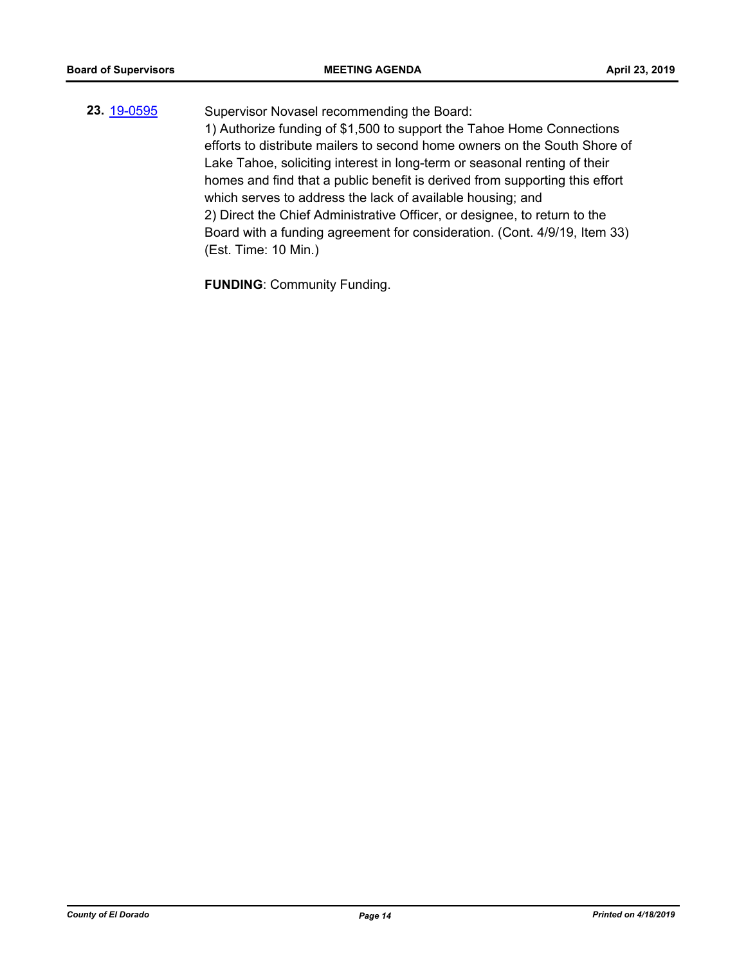**23.** [19-0595](http://eldorado.legistar.com/gateway.aspx?m=l&id=/matter.aspx?key=25916) Supervisor Novasel recommending the Board: 1) Authorize funding of \$1,500 to support the Tahoe Home Connections efforts to distribute mailers to second home owners on the South Shore of Lake Tahoe, soliciting interest in long-term or seasonal renting of their homes and find that a public benefit is derived from supporting this effort which serves to address the lack of available housing; and 2) Direct the Chief Administrative Officer, or designee, to return to the Board with a funding agreement for consideration. (Cont. 4/9/19, Item 33) (Est. Time: 10 Min.)

**FUNDING**: Community Funding.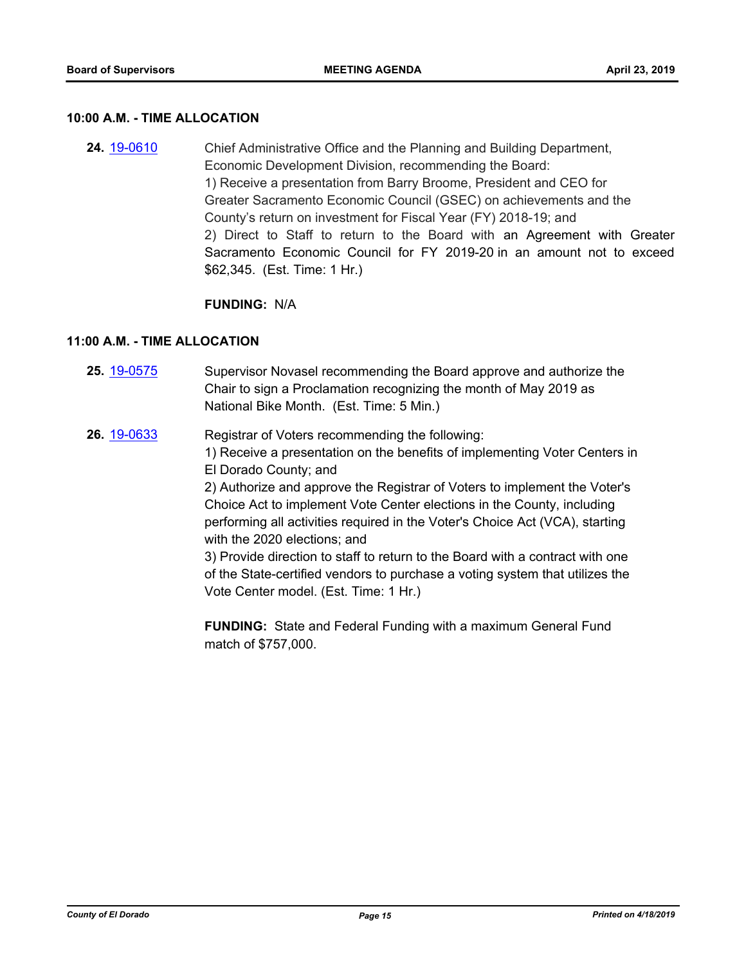#### **10:00 A.M. - TIME ALLOCATION**

**24.** [19-0610](http://eldorado.legistar.com/gateway.aspx?m=l&id=/matter.aspx?key=25931) Chief Administrative Office and the Planning and Building Department, Economic Development Division, recommending the Board: 1) Receive a presentation from Barry Broome, President and CEO for Greater Sacramento Economic Council (GSEC) on achievements and the County's return on investment for Fiscal Year (FY) 2018-19; and 2) Direct to Staff to return to the Board with an Agreement with Greater Sacramento Economic Council for FY 2019-20 in an amount not to exceed \$62,345. (Est. Time: 1 Hr.)

#### **FUNDING:** N/A

## **11:00 A.M. - TIME ALLOCATION**

- **25.** [19-0575](http://eldorado.legistar.com/gateway.aspx?m=l&id=/matter.aspx?key=25896) Supervisor Novasel recommending the Board approve and authorize the Chair to sign a Proclamation recognizing the month of May 2019 as National Bike Month. (Est. Time: 5 Min.)
- **26.** [19-0633](http://eldorado.legistar.com/gateway.aspx?m=l&id=/matter.aspx?key=25955) Registrar of Voters recommending the following: 1) Receive a presentation on the benefits of implementing Voter Centers in El Dorado County; and 2) Authorize and approve the Registrar of Voters to implement the Voter's Choice Act to implement Vote Center elections in the County, including performing all activities required in the Voter's Choice Act (VCA), starting with the 2020 elections; and 3) Provide direction to staff to return to the Board with a contract with one of the State-certified vendors to purchase a voting system that utilizes the Vote Center model. (Est. Time: 1 Hr.)

**FUNDING:** State and Federal Funding with a maximum General Fund match of \$757,000.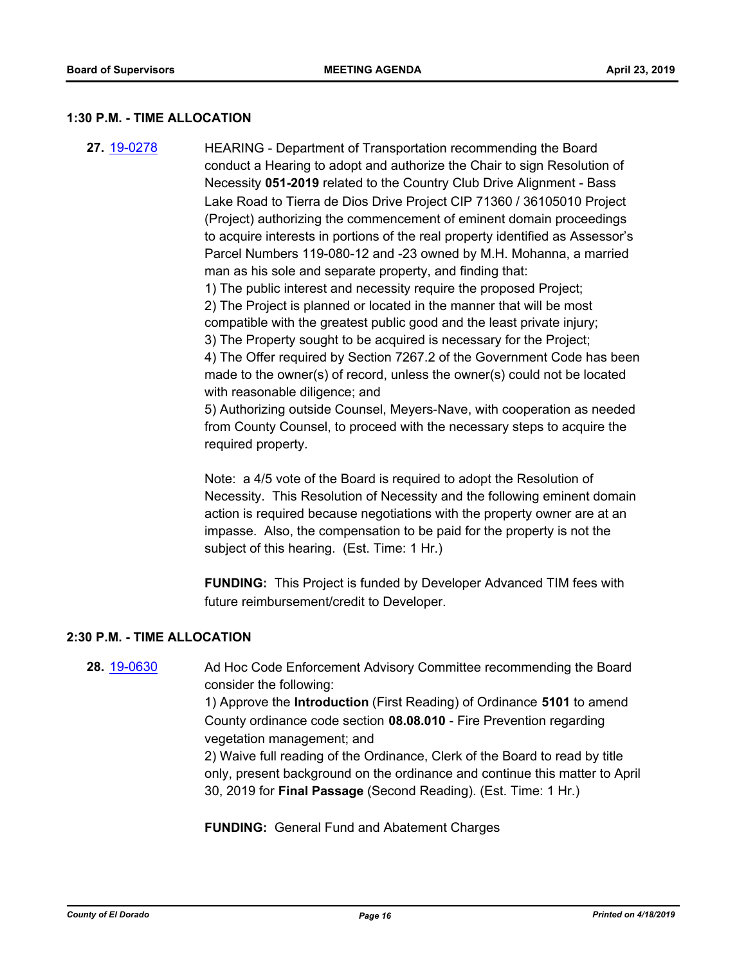#### **1:30 P.M. - TIME ALLOCATION**

**27.** [19-0278](http://eldorado.legistar.com/gateway.aspx?m=l&id=/matter.aspx?key=25600) HEARING - Department of Transportation recommending the Board conduct a Hearing to adopt and authorize the Chair to sign Resolution of Necessity **051-2019** related to the Country Club Drive Alignment - Bass Lake Road to Tierra de Dios Drive Project CIP 71360 / 36105010 Project (Project) authorizing the commencement of eminent domain proceedings to acquire interests in portions of the real property identified as Assessor's Parcel Numbers 119-080-12 and -23 owned by M.H. Mohanna, a married man as his sole and separate property, and finding that: 1) The public interest and necessity require the proposed Project; 2) The Project is planned or located in the manner that will be most compatible with the greatest public good and the least private injury; 3) The Property sought to be acquired is necessary for the Project;

4) The Offer required by Section 7267.2 of the Government Code has been made to the owner(s) of record, unless the owner(s) could not be located with reasonable diligence; and

5) Authorizing outside Counsel, Meyers-Nave, with cooperation as needed from County Counsel, to proceed with the necessary steps to acquire the required property.

Note: a 4/5 vote of the Board is required to adopt the Resolution of Necessity. This Resolution of Necessity and the following eminent domain action is required because negotiations with the property owner are at an impasse. Also, the compensation to be paid for the property is not the subject of this hearing. (Est. Time: 1 Hr.)

**FUNDING:** This Project is funded by Developer Advanced TIM fees with future reimbursement/credit to Developer.

## **2:30 P.M. - TIME ALLOCATION**

**28.** [19-0630](http://eldorado.legistar.com/gateway.aspx?m=l&id=/matter.aspx?key=25952) Ad Hoc Code Enforcement Advisory Committee recommending the Board consider the following:

> 1) Approve the **Introduction** (First Reading) of Ordinance **5101** to amend County ordinance code section **08.08.010** - Fire Prevention regarding vegetation management; and

2) Waive full reading of the Ordinance, Clerk of the Board to read by title only, present background on the ordinance and continue this matter to April 30, 2019 for **Final Passage** (Second Reading). (Est. Time: 1 Hr.)

**FUNDING:** General Fund and Abatement Charges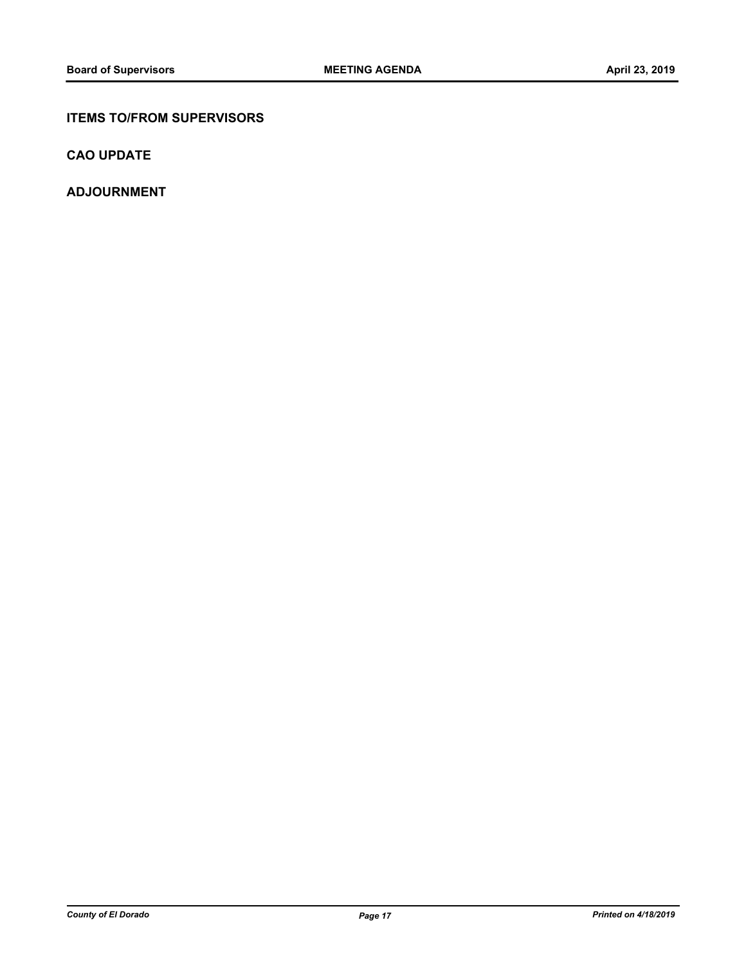## **ITEMS TO/FROM SUPERVISORS**

**CAO UPDATE**

**ADJOURNMENT**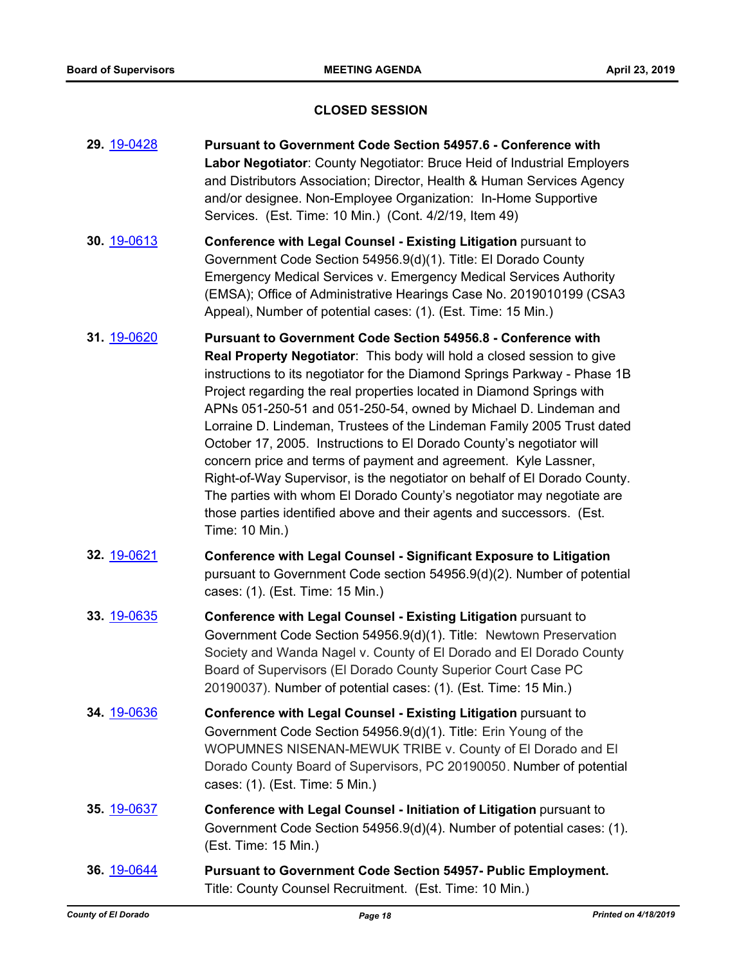## **CLOSED SESSION**

| 29. 19-0428        | Pursuant to Government Code Section 54957.6 - Conference with<br>Labor Negotiator: County Negotiator: Bruce Heid of Industrial Employers<br>and Distributors Association; Director, Health & Human Services Agency<br>and/or designee. Non-Employee Organization: In-Home Supportive<br>Services. (Est. Time: 10 Min.) (Cont. 4/2/19, Item 49)                                                                                                                                                                                                                                                                                                                                                                                                                                                                                                 |
|--------------------|------------------------------------------------------------------------------------------------------------------------------------------------------------------------------------------------------------------------------------------------------------------------------------------------------------------------------------------------------------------------------------------------------------------------------------------------------------------------------------------------------------------------------------------------------------------------------------------------------------------------------------------------------------------------------------------------------------------------------------------------------------------------------------------------------------------------------------------------|
| 30. 19-0613        | Conference with Legal Counsel - Existing Litigation pursuant to<br>Government Code Section 54956.9(d)(1). Title: El Dorado County<br>Emergency Medical Services v. Emergency Medical Services Authority<br>(EMSA); Office of Administrative Hearings Case No. 2019010199 (CSA3<br>Appeal), Number of potential cases: (1). (Est. Time: 15 Min.)                                                                                                                                                                                                                                                                                                                                                                                                                                                                                                |
| 31. 19-0620        | <b>Pursuant to Government Code Section 54956.8 - Conference with</b><br>Real Property Negotiator: This body will hold a closed session to give<br>instructions to its negotiator for the Diamond Springs Parkway - Phase 1B<br>Project regarding the real properties located in Diamond Springs with<br>APNs 051-250-51 and 051-250-54, owned by Michael D. Lindeman and<br>Lorraine D. Lindeman, Trustees of the Lindeman Family 2005 Trust dated<br>October 17, 2005. Instructions to El Dorado County's negotiator will<br>concern price and terms of payment and agreement. Kyle Lassner,<br>Right-of-Way Supervisor, is the negotiator on behalf of El Dorado County.<br>The parties with whom El Dorado County's negotiator may negotiate are<br>those parties identified above and their agents and successors. (Est.<br>Time: 10 Min.) |
| 32. 19-0621        | <b>Conference with Legal Counsel - Significant Exposure to Litigation</b><br>pursuant to Government Code section 54956.9(d)(2). Number of potential<br>cases: (1). (Est. Time: 15 Min.)                                                                                                                                                                                                                                                                                                                                                                                                                                                                                                                                                                                                                                                        |
| 33. 19-0635        | Conference with Legal Counsel - Existing Litigation pursuant to<br>Government Code Section 54956.9(d)(1). Title: Newtown Preservation<br>Society and Wanda Nagel v. County of El Dorado and El Dorado County<br>Board of Supervisors (El Dorado County Superior Court Case PC<br>20190037). Number of potential cases: (1). (Est. Time: 15 Min.)                                                                                                                                                                                                                                                                                                                                                                                                                                                                                               |
| <b>34.</b> 19-0636 | Conference with Legal Counsel - Existing Litigation pursuant to<br>Government Code Section 54956.9(d)(1). Title: Erin Young of the<br>WOPUMNES NISENAN-MEWUK TRIBE v. County of El Dorado and El<br>Dorado County Board of Supervisors, PC 20190050. Number of potential<br>cases: (1). (Est. Time: 5 Min.)                                                                                                                                                                                                                                                                                                                                                                                                                                                                                                                                    |
| 35. 19-0637        | Conference with Legal Counsel - Initiation of Litigation pursuant to<br>Government Code Section 54956.9(d)(4). Number of potential cases: (1).<br>(Est. Time: 15 Min.)                                                                                                                                                                                                                                                                                                                                                                                                                                                                                                                                                                                                                                                                         |
| 36. 19-0644        | <b>Pursuant to Government Code Section 54957- Public Employment.</b><br>Title: County Counsel Recruitment. (Est. Time: 10 Min.)                                                                                                                                                                                                                                                                                                                                                                                                                                                                                                                                                                                                                                                                                                                |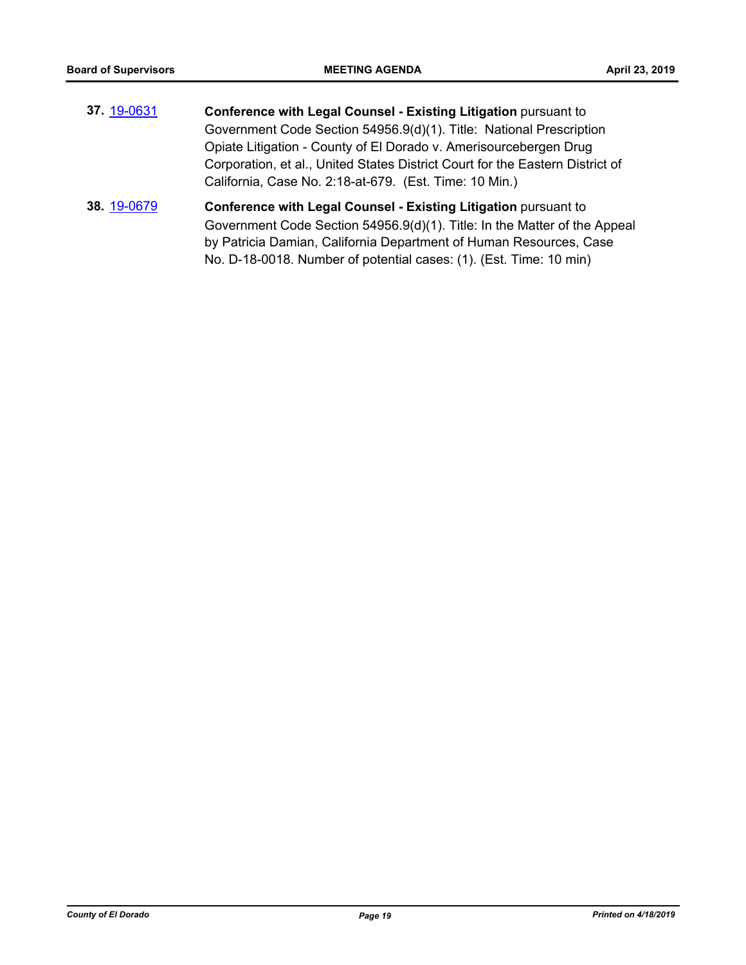- **37.** [19-0631](http://eldorado.legistar.com/gateway.aspx?m=l&id=/matter.aspx?key=25953) **Conference with Legal Counsel - Existing Litigation** pursuant to Government Code Section 54956.9(d)(1). Title: National Prescription Opiate Litigation - County of El Dorado v. Amerisourcebergen Drug Corporation, et al., United States District Court for the Eastern District of California, Case No. 2:18-at-679. (Est. Time: 10 Min.)
- **38.** [19-0679](http://eldorado.legistar.com/gateway.aspx?m=l&id=/matter.aspx?key=26001) **Conference with Legal Counsel - Existing Litigation** pursuant to Government Code Section 54956.9(d)(1). Title: In the Matter of the Appeal by Patricia Damian, California Department of Human Resources, Case No. D-18-0018. Number of potential cases: (1). (Est. Time: 10 min)